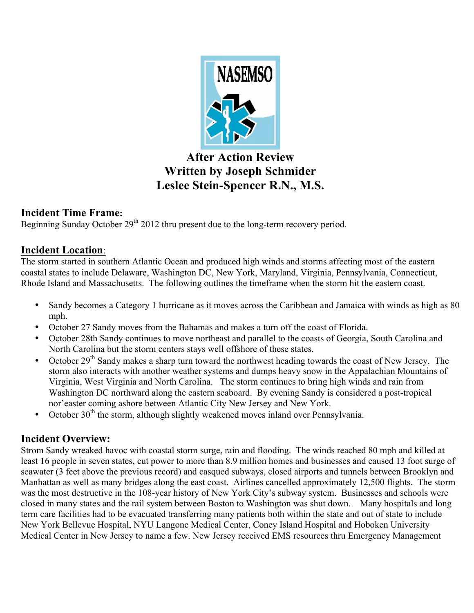

# **After Action Review Written by Joseph Schmider Leslee Stein-Spencer R.N., M.S.**

# **Incident Time Frame:**

Beginning Sunday October 29<sup>th</sup> 2012 thru present due to the long-term recovery period.

# **Incident Location**:

The storm started in southern Atlantic Ocean and produced high winds and storms affecting most of the eastern coastal states to include Delaware, Washington DC, New York, Maryland, Virginia, Pennsylvania, Connecticut, Rhode Island and Massachusetts. The following outlines the timeframe when the storm hit the eastern coast.

- Sandy becomes a Category 1 hurricane as it moves across the Caribbean and Jamaica with winds as high as 80 mph.
- October 27 Sandy moves from the Bahamas and makes a turn off the coast of Florida.
- October 28th Sandy continues to move northeast and parallel to the coasts of Georgia, South Carolina and North Carolina but the storm centers stays well offshore of these states.
- October 29<sup>th</sup> Sandy makes a sharp turn toward the northwest heading towards the coast of New Jersey. The storm also interacts with another weather systems and dumps heavy snow in the Appalachian Mountains of Virginia, West Virginia and North Carolina. The storm continues to bring high winds and rain from Washington DC northward along the eastern seaboard. By evening Sandy is considered a post-tropical nor'easter coming ashore between Atlantic City New Jersey and New York.
- October  $30<sup>th</sup>$  the storm, although slightly weakened moves inland over Pennsylvania.

# **Incident Overview:**

Strom Sandy wreaked havoc with coastal storm surge, rain and flooding. The winds reached 80 mph and killed at least 16 people in seven states, cut power to more than 8.9 million homes and businesses and caused 13 foot surge of seawater (3 feet above the previous record) and casqued subways, closed airports and tunnels between Brooklyn and Manhattan as well as many bridges along the east coast. Airlines cancelled approximately 12,500 flights. The storm was the most destructive in the 108-year history of New York City's subway system. Businesses and schools were closed in many states and the rail system between Boston to Washington was shut down. Many hospitals and long term care facilities had to be evacuated transferring many patients both within the state and out of state to include New York Bellevue Hospital, NYU Langone Medical Center, Coney Island Hospital and Hoboken University Medical Center in New Jersey to name a few. New Jersey received EMS resources thru Emergency Management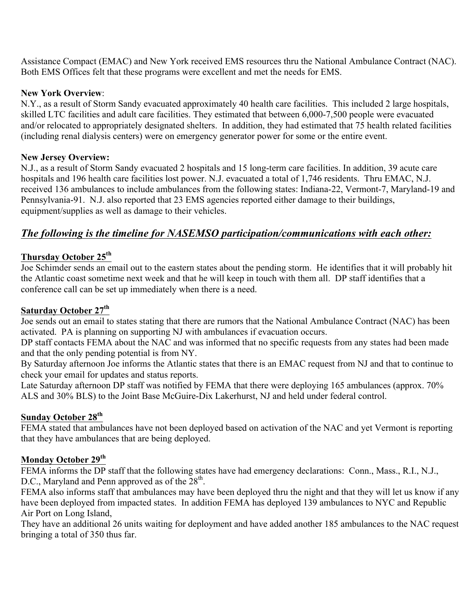Assistance Compact (EMAC) and New York received EMS resources thru the National Ambulance Contract (NAC). Both EMS Offices felt that these programs were excellent and met the needs for EMS.

#### **New York Overview**:

N.Y., as a result of Storm Sandy evacuated approximately 40 health care facilities. This included 2 large hospitals, skilled LTC facilities and adult care facilities. They estimated that between 6,000-7,500 people were evacuated and/or relocated to appropriately designated shelters. In addition, they had estimated that 75 health related facilities (including renal dialysis centers) were on emergency generator power for some or the entire event.

#### **New Jersey Overview:**

N.J., as a result of Storm Sandy evacuated 2 hospitals and 15 long-term care facilities. In addition, 39 acute care hospitals and 196 health care facilities lost power. N.J. evacuated a total of 1,746 residents. Thru EMAC, N.J. received 136 ambulances to include ambulances from the following states: Indiana-22, Vermont-7, Maryland-19 and Pennsylvania-91. N.J. also reported that 23 EMS agencies reported either damage to their buildings, equipment/supplies as well as damage to their vehicles.

## *The following is the timeline for NASEMSO participation/communications with each other:*

## **Thursday October 25th**

Joe Schimder sends an email out to the eastern states about the pending storm. He identifies that it will probably hit the Atlantic coast sometime next week and that he will keep in touch with them all. DP staff identifies that a conference call can be set up immediately when there is a need.

### **Saturday October 27th**

Joe sends out an email to states stating that there are rumors that the National Ambulance Contract (NAC) has been activated. PA is planning on supporting NJ with ambulances if evacuation occurs.

DP staff contacts FEMA about the NAC and was informed that no specific requests from any states had been made and that the only pending potential is from NY.

By Saturday afternoon Joe informs the Atlantic states that there is an EMAC request from NJ and that to continue to check your email for updates and status reports.

Late Saturday afternoon DP staff was notified by FEMA that there were deploying 165 ambulances (approx. 70%) ALS and 30% BLS) to the Joint Base McGuire-Dix Lakerhurst, NJ and held under federal control.

### **Sunday October 28th**

FEMA stated that ambulances have not been deployed based on activation of the NAC and yet Vermont is reporting that they have ambulances that are being deployed.

#### **Monday October 29th**

FEMA informs the DP staff that the following states have had emergency declarations: Conn., Mass., R.I., N.J., D.C., Maryland and Penn approved as of the  $28<sup>th</sup>$ .

FEMA also informs staff that ambulances may have been deployed thru the night and that they will let us know if any have been deployed from impacted states. In addition FEMA has deployed 139 ambulances to NYC and Republic Air Port on Long Island,

They have an additional 26 units waiting for deployment and have added another 185 ambulances to the NAC request bringing a total of 350 thus far.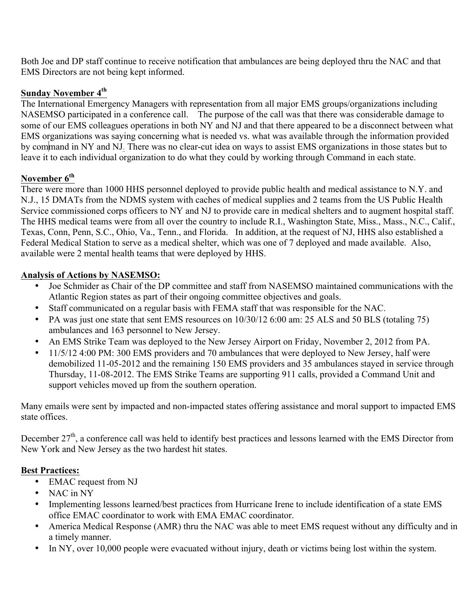Both Joe and DP staff continue to receive notification that ambulances are being deployed thru the NAC and that EMS Directors are not being kept informed.

### **Sunday November 4th**

The International Emergency Managers with representation from all major EMS groups/organizations including NASEMSO participated in a conference call. The purpose of the call was that there was considerable damage to some of our EMS colleagues operations in both NY and NJ and that there appeared to be a disconnect between what EMS organizations was saying concerning what is needed vs. what was available through the information provided by command in NY and NJ. There was no clear-cut idea on ways to assist EMS organizations in those states but to leave it to each individual organization to do what they could by working through Command in each state.

### **November 6th**

There were more than 1000 HHS personnel deployed to provide public health and medical assistance to N.Y. and N.J., 15 DMATs from the NDMS system with caches of medical supplies and 2 teams from the US Public Health Service commissioned corps officers to NY and NJ to provide care in medical shelters and to augment hospital staff. The HHS medical teams were from all over the country to include R.I., Washington State, Miss., Mass., N.C., Calif., Texas, Conn, Penn, S.C., Ohio, Va., Tenn., and Florida. In addition, at the request of NJ, HHS also established a Federal Medical Station to serve as a medical shelter, which was one of 7 deployed and made available. Also, available were 2 mental health teams that were deployed by HHS.

### **Analysis of Actions by NASEMSO:**

- Joe Schmider as Chair of the DP committee and staff from NASEMSO maintained communications with the Atlantic Region states as part of their ongoing committee objectives and goals.
- Staff communicated on a regular basis with FEMA staff that was responsible for the NAC.
- PA was just one state that sent EMS resources on  $10/30/12$  6:00 am: 25 ALS and 50 BLS (totaling 75) ambulances and 163 personnel to New Jersey.
- An EMS Strike Team was deployed to the New Jersey Airport on Friday, November 2, 2012 from PA.
- 11/5/12 4:00 PM: 300 EMS providers and 70 ambulances that were deployed to New Jersey, half were demobilized 11-05-2012 and the remaining 150 EMS providers and 35 ambulances stayed in service through Thursday, 11-08-2012. The EMS Strike Teams are supporting 911 calls, provided a Command Unit and support vehicles moved up from the southern operation.

Many emails were sent by impacted and non-impacted states offering assistance and moral support to impacted EMS state offices.

December  $27<sup>th</sup>$ , a conference call was held to identify best practices and lessons learned with the EMS Director from New York and New Jersey as the two hardest hit states.

### **Best Practices:**

- EMAC request from NJ
- NAC in NY
- Implementing lessons learned/best practices from Hurricane Irene to include identification of a state EMS office EMAC coordinator to work with EMA EMAC coordinator.
- America Medical Response (AMR) thru the NAC was able to meet EMS request without any difficulty and in a timely manner.
- In NY, over 10,000 people were evacuated without injury, death or victims being lost within the system.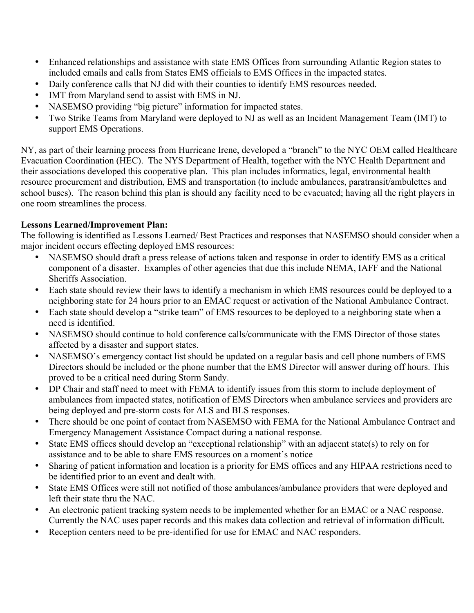- Enhanced relationships and assistance with state EMS Offices from surrounding Atlantic Region states to included emails and calls from States EMS officials to EMS Offices in the impacted states.
- Daily conference calls that NJ did with their counties to identify EMS resources needed.
- IMT from Maryland send to assist with EMS in NJ.
- NASEMSO providing "big picture" information for impacted states.
- Two Strike Teams from Maryland were deployed to NJ as well as an Incident Management Team (IMT) to support EMS Operations.

NY, as part of their learning process from Hurricane Irene, developed a "branch" to the NYC OEM called Healthcare Evacuation Coordination (HEC). The NYS Department of Health, together with the NYC Health Department and their associations developed this cooperative plan. This plan includes informatics, legal, environmental health resource procurement and distribution, EMS and transportation (to include ambulances, paratransit/ambulettes and school buses). The reason behind this plan is should any facility need to be evacuated; having all the right players in one room streamlines the process.

#### **Lessons Learned/Improvement Plan:**

The following is identified as Lessons Learned/ Best Practices and responses that NASEMSO should consider when a major incident occurs effecting deployed EMS resources:

- NASEMSO should draft a press release of actions taken and response in order to identify EMS as a critical component of a disaster. Examples of other agencies that due this include NEMA, IAFF and the National Sheriffs Association.
- Each state should review their laws to identify a mechanism in which EMS resources could be deployed to a neighboring state for 24 hours prior to an EMAC request or activation of the National Ambulance Contract.
- Each state should develop a "strike team" of EMS resources to be deployed to a neighboring state when a need is identified.
- NASEMSO should continue to hold conference calls/communicate with the EMS Director of those states affected by a disaster and support states.
- NASEMSO's emergency contact list should be updated on a regular basis and cell phone numbers of EMS Directors should be included or the phone number that the EMS Director will answer during off hours. This proved to be a critical need during Storm Sandy.
- DP Chair and staff need to meet with FEMA to identify issues from this storm to include deployment of ambulances from impacted states, notification of EMS Directors when ambulance services and providers are being deployed and pre-storm costs for ALS and BLS responses.
- There should be one point of contact from NASEMSO with FEMA for the National Ambulance Contract and Emergency Management Assistance Compact during a national response.
- State EMS offices should develop an "exceptional relationship" with an adjacent state(s) to rely on for assistance and to be able to share EMS resources on a moment's notice
- Sharing of patient information and location is a priority for EMS offices and any HIPAA restrictions need to be identified prior to an event and dealt with.
- State EMS Offices were still not notified of those ambulances/ambulance providers that were deployed and left their state thru the NAC.
- An electronic patient tracking system needs to be implemented whether for an EMAC or a NAC response. Currently the NAC uses paper records and this makes data collection and retrieval of information difficult.
- Reception centers need to be pre-identified for use for EMAC and NAC responders.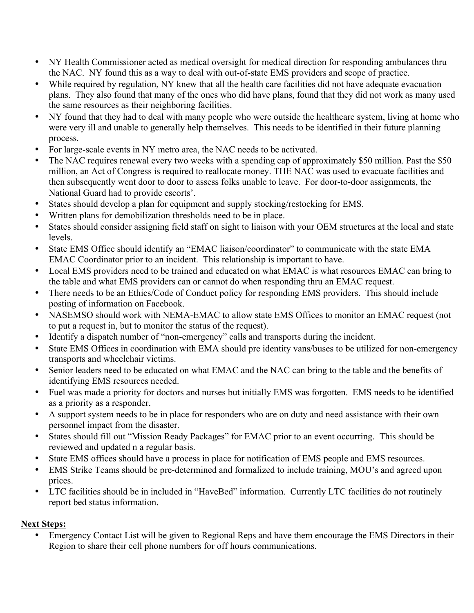- NY Health Commissioner acted as medical oversight for medical direction for responding ambulances thru the NAC. NY found this as a way to deal with out-of-state EMS providers and scope of practice.
- While required by regulation, NY knew that all the health care facilities did not have adequate evacuation plans. They also found that many of the ones who did have plans, found that they did not work as many used the same resources as their neighboring facilities.
- NY found that they had to deal with many people who were outside the healthcare system, living at home who were very ill and unable to generally help themselves. This needs to be identified in their future planning process.
- For large-scale events in NY metro area, the NAC needs to be activated.
- The NAC requires renewal every two weeks with a spending cap of approximately \$50 million. Past the \$50 million, an Act of Congress is required to reallocate money. THE NAC was used to evacuate facilities and then subsequently went door to door to assess folks unable to leave. For door-to-door assignments, the National Guard had to provide escorts'.
- States should develop a plan for equipment and supply stocking/restocking for EMS.
- Written plans for demobilization thresholds need to be in place.
- States should consider assigning field staff on sight to liaison with your OEM structures at the local and state levels.
- State EMS Office should identify an "EMAC liaison/coordinator" to communicate with the state EMA EMAC Coordinator prior to an incident. This relationship is important to have.
- Local EMS providers need to be trained and educated on what EMAC is what resources EMAC can bring to the table and what EMS providers can or cannot do when responding thru an EMAC request.
- There needs to be an Ethics/Code of Conduct policy for responding EMS providers. This should include posting of information on Facebook.
- NASEMSO should work with NEMA-EMAC to allow state EMS Offices to monitor an EMAC request (not to put a request in, but to monitor the status of the request).
- Identify a dispatch number of "non-emergency" calls and transports during the incident.
- State EMS Offices in coordination with EMA should pre identity vans/buses to be utilized for non-emergency transports and wheelchair victims.
- Senior leaders need to be educated on what EMAC and the NAC can bring to the table and the benefits of identifying EMS resources needed.
- Fuel was made a priority for doctors and nurses but initially EMS was forgotten. EMS needs to be identified as a priority as a responder.
- A support system needs to be in place for responders who are on duty and need assistance with their own personnel impact from the disaster.
- States should fill out "Mission Ready Packages" for EMAC prior to an event occurring. This should be reviewed and updated n a regular basis.
- State EMS offices should have a process in place for notification of EMS people and EMS resources.
- EMS Strike Teams should be pre-determined and formalized to include training, MOU's and agreed upon prices.
- LTC facilities should be in included in "HaveBed" information. Currently LTC facilities do not routinely report bed status information.

### **Next Steps:**

• Emergency Contact List will be given to Regional Reps and have them encourage the EMS Directors in their Region to share their cell phone numbers for off hours communications.